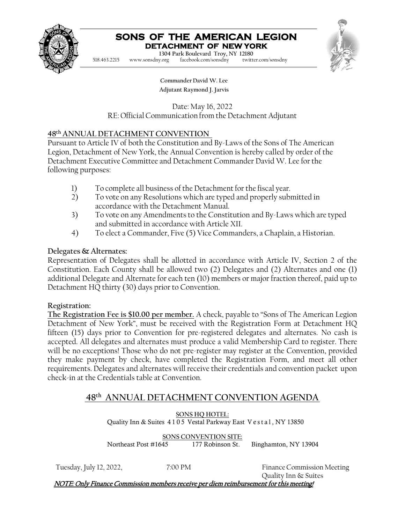

# **SONS OF THE AMERICAN LEGION DETACHMENT OF NEW YORK**

**Commander Charles M. Depo 1304 Park Boulevard Troy, NY 12180**  $facebook.com/sonsdny$ 518.463.2215 [www.sonsdny.org](http://www.sonsdny.org/) facebook.com/sonsdny twitter.com/sonsdny



**Commander David W. Lee Adjutant Raymond J. Jarvis**

Date: May 16, 2022 RE: OfficialCommunication from the Detachment Adjutant

#### **48th ANNUAL DETACHMENT CONVENTION**

Pursuant to Article IV of both the Constitution and By-Laws of the Sons of The American Legion, Detachment of New York, the Annual Convention is hereby called by order of the Detachment Executive Committee and Detachment Commander David W. Lee for the following purposes:

- 
- 1) To complete all business of the Detachment for the fiscal year.<br>2) To vote on any Resolutions which are typed and properly sub-2) To vote on any Resolutions which are typed and properly submitted in accordance with the Detachment Manual.
- 3) To vote on any Amendments to the Constitution and By-Laws which are typed and submitted in accordance with Article XII.
- 4) To elect a Commander, Five (5) Vice Commanders, a Chaplain, a Historian.

#### **Delegates & Alternates:**

Representation of Delegates shall be allotted in accordance with Article IV, Section 2 of the Constitution. Each County shall be allowed two (2) Delegates and (2) Alternates and one (1) additional Delegate and Alternate for each ten (10) members or major fraction thereof, paid up to Detachment HQ thirty (30) days prior to Convention.

#### **Registration:**

**The Registration Fee is \$10.00 per member.** A check, payable to "Sons of The American Legion Detachment of New York", must be received with the Registration Form at Detachment HQ fifteen (15) days prior to Convention for pre-registered delegates and alternates. No cash is accepted. All delegates and alternates must produce a valid Membership Card to register. There will be no exceptions! Those who do not pre-register may register at the Convention, provided they make payment by check, have completed the Registration Form, and meet all other requirements. Delegates and alternates will receive their credentials and convention packet upon check-in at the Credentials table at Convention.

### **48th ANNUAL DETACHMENT CONVENTION AGENDA**

**SONS HQ HOTEL:** Quality Inn & Suites 4 105 Vestal Parkway East Vestal , NY 13850

**SONS CONVENTION SITE:**<br>Northeast Post #1645 177 Robinson St. 177 Robinson St. Binghamton, NY 13904

Tuesday, July 12, 2022, **7:00 PM** Finance Commission Meeting Quality Inn & Suites

NOTE: Only Finance Commission members receive per diem reimbursement for this meeting!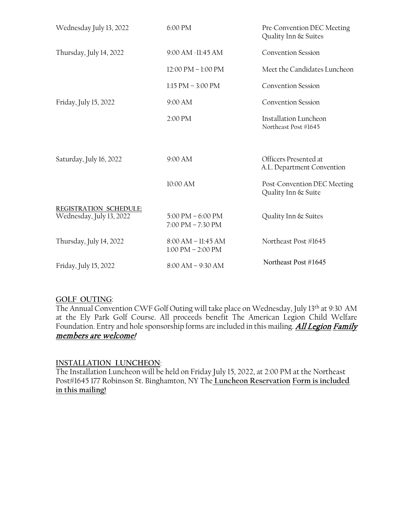| Wednesday July 13, 2022  | 6:00 PM                                                                    | Pre-Convention DEC Meeting<br>Quality Inn & Suites   |
|--------------------------|----------------------------------------------------------------------------|------------------------------------------------------|
| Thursday, July 14, 2022  | 9:00 AM -11:45 AM                                                          | <b>Convention Session</b>                            |
|                          | 12:00 PM - 1:00 PM                                                         | Meet the Candidates Luncheon                         |
|                          | $1:15$ PM $-3:00$ PM                                                       | <b>Convention Session</b>                            |
| Friday, July 15, 2022    | 9:00 AM                                                                    | <b>Convention Session</b>                            |
|                          | 2:00 PM                                                                    | <b>Installation Luncheon</b><br>Northeast Post #1645 |
|                          |                                                                            |                                                      |
| Saturday, July 16, 2022  | 9:00 AM                                                                    | Officers Presented at<br>A.L. Department Convention  |
|                          | 10:00 AM                                                                   | Post-Convention DEC Meeting<br>Quality Inn & Suite   |
| REGISTRATION SCHEDULE:   |                                                                            |                                                      |
| Wednesday, July 13, 2022 | $5:00 \text{ PM} - 6:00 \text{ PM}$<br>$7:00 \text{ PM} - 7:30 \text{ PM}$ | Quality Inn & Suites                                 |
| Thursday, July 14, 2022  | $8:00 AM - 11:45 AM$                                                       | Northeast Post #1645                                 |
|                          | $1:00$ PM $- 2:00$ PM                                                      |                                                      |

#### **GOLF OUTING**:

The Annual Convention CWF Golf Outing will take place on Wednesday, July 13th at 9:30 AM at the Ely Park Golf Course. All proceeds benefit The American Legion Child Welfare Foundation. Entry and hole sponsorship forms are included in this mailing. All Legion Family members are welcome!

#### **INSTALLATION LUNCHEON**:

The Installation Luncheon will be held on Friday July 15, 2022, at 2:00 PM at the Northeast Post#1645 177 Robinson St. Binghamton, NY The **Luncheon Reservation Form is included in this mailing!**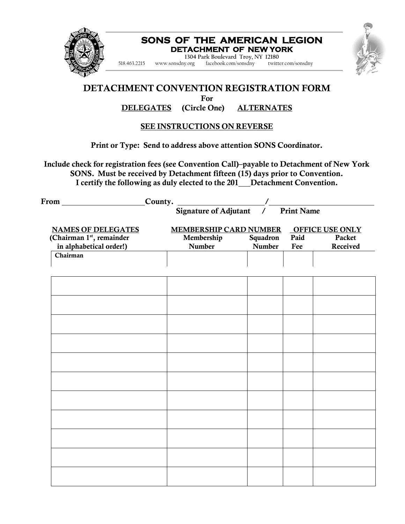

#### **DETACHMENT OF NEW YORK SONS OF THE AMERICAN LEGION**

**Adjutant RobertJ. Avery 1304 Park Boulevard Troy, NY 12180** 518.463.2215 [www.sonsdny.org](http://www.sonsdny.org/) facebook.com/sonsdny twitter.com/sonsdny

## DETACHMENT CONVENTION REGISTRATION FORM

For

#### DELEGATES (Circle One) ALTERNATES

#### SEE INSTRUCTIONS ON REVERSE

#### Print or Type: Send to address above attention SONS Coordinator.

Include check for registration fees (see Convention Call)–payable to Detachment of New York SONS. Must be received by Detachment fifteen (15) days prior to Convention. I certify the following as duly elected to the 201\_Detachment Convention.

| From County.              |                                                               |                        |      |          |  |  |
|---------------------------|---------------------------------------------------------------|------------------------|------|----------|--|--|
|                           | $\frac{y}{\text{Signature of Adjutant}}$<br><b>Print Name</b> |                        |      |          |  |  |
| <b>NAMES OF DELEGATES</b> | <b>MEMBERSHIP CARD NUMBER</b>                                 | <b>OFFICE USE ONLY</b> |      |          |  |  |
| (Chairman 1st, remainder  | Membership                                                    | Squadron               | Paid | Packet   |  |  |
| in alphabetical order!)   | <b>Number</b>                                                 | Number                 | Fee  | Received |  |  |
| Chairman                  |                                                               |                        |      |          |  |  |
|                           |                                                               |                        |      |          |  |  |
|                           |                                                               |                        |      |          |  |  |
|                           |                                                               |                        |      |          |  |  |
|                           |                                                               |                        |      |          |  |  |
|                           |                                                               |                        |      |          |  |  |
|                           |                                                               |                        |      |          |  |  |
|                           |                                                               |                        |      |          |  |  |
|                           |                                                               |                        |      |          |  |  |
|                           |                                                               |                        |      |          |  |  |
|                           |                                                               |                        |      |          |  |  |
|                           |                                                               |                        |      |          |  |  |
|                           |                                                               |                        |      |          |  |  |
|                           |                                                               |                        |      |          |  |  |
|                           |                                                               |                        |      |          |  |  |
|                           |                                                               |                        |      |          |  |  |
|                           |                                                               |                        |      |          |  |  |
|                           |                                                               |                        |      |          |  |  |
|                           |                                                               |                        |      |          |  |  |
|                           |                                                               |                        |      |          |  |  |
|                           |                                                               |                        |      |          |  |  |
|                           |                                                               |                        |      |          |  |  |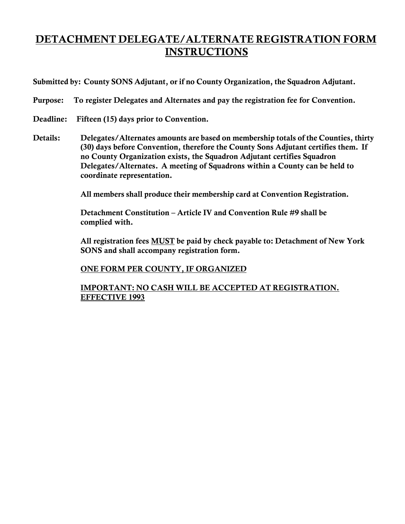## DETACHMENT DELEGATE/ALTERNATE REGISTRATION FORM **INSTRUCTIONS**

Submitted by: County SONS Adjutant, or if no County Organization, the Squadron Adjutant.

Purpose: To register Delegates and Alternates and pay the registration fee for Convention.

- Deadline: Fifteen (15) days prior to Convention.
- Details: Delegates/Alternates amounts are based on membership totals of the Counties, thirty (30) days before Convention, therefore the County Sons Adjutant certifies them. If no County Organization exists, the Squadron Adjutant certifies Squadron Delegates/Alternates. A meeting of Squadrons within a County can be held to coordinate representation.

All members shall produce their membership card at Convention Registration.

Detachment Constitution – Article IV and Convention Rule #9 shall be complied with.

All registration fees **MUST** be paid by check payable to: Detachment of New York SONS and shall accompany registration form.

#### ONE FORM PER COUNTY, IF ORGANIZED

IMPORTANT: NO CASH WILL BE ACCEPTED AT REGISTRATION. EFFECTIVE 1993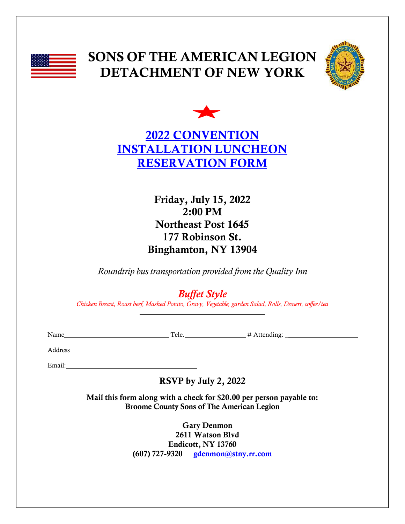

## SONS OF THE AMERICAN LEGION DETACHMENT OF NEW YORK





Friday, July 15, 2022 2:00 PM Northeast Post 1645 177 Robinson St. Binghamton, NY 13904

*Roundtrip bus transportation provided from the Quality Inn*

*Buffet Style*

*Chicken Breast, Roast beef, Mashed Potato, Gravy, Vegetable, garden Salad, Rolls, Dessert, coffee/tea*

Name  $\qquad \qquad \qquad \text{Tele.}$   $\qquad \qquad \text{H}$  Attending:

Address

Email:

RSVP by July 2, 2022

<u> 1980 - Johann Barn, mars an t-Amerikaansk komponister (</u>

Mail this form along with a check for \$20.00 per person payable to: Broome County Sons of The American Legion

> Gary Denmon 2611 Watson Blvd Endicott, NY 13760  $(607)$  727-9320 [gdenmon@stny.rr.com](mailto:gdenmon@stny.rr.com)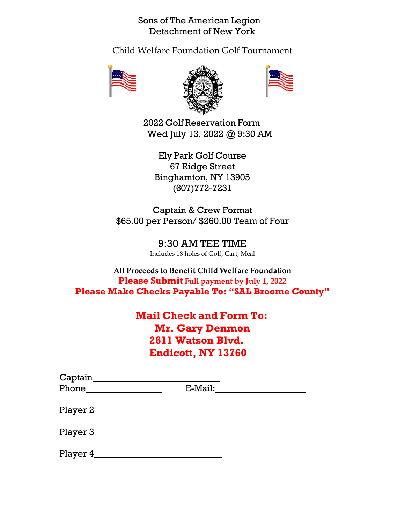Sons of The American Legion Detachment of New York

Child Welfare Foundation Golf Tournament







2022 Golf Reservation Form Wed July 13, 2022 @ 9:30 AM

Ely Park Golf Course 67 Ridge Street Binghamton, NY 13905 (607)772-7231

Captain & Crew Format \$65.00 per Person/ \$260.00 Team of Four

> 9:30 AM TEE TIME Includes 18 holes of Golf, Cart, Meal

**All Proceeds to Benefit Child Welfare Foundation Please Submit Full payment by July 1, 2022 Please Make Checks Payable To: "SAL Broome County"**

## **Mail Check and Form To: Mr. Gary Denmon 2611 Watson Blvd. Endicott, NY 13760**

| Captain    |            |  |
|------------|------------|--|
|            | $E$ -Mail: |  |
| Player $2$ |            |  |
| Player 3_  |            |  |
| Player 4   |            |  |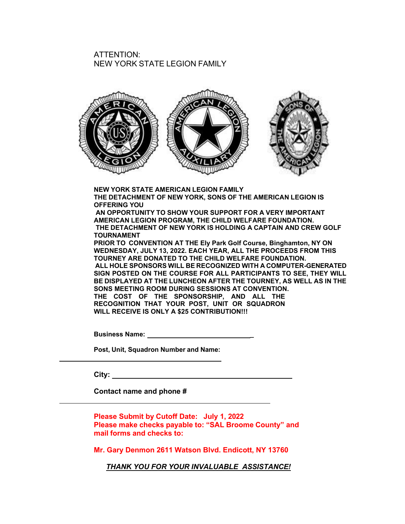#### ATTENTION: NEW YORK STATE LEGION FAMILY



**NEW YORK STATE AMERICAN LEGION FAMILY THE DETACHMENT OF NEW YORK, SONS OF THE AMERICAN LEGION IS OFFERING YOU AN OPPORTUNITY TO SHOW YOUR SUPPORT FOR A VERY IMPORTANT**

**AMERICAN LEGION PROGRAM, THE CHILD WELFARE FOUNDATION. THE DETACHMENT OF NEW YORK IS HOLDING A CAPTAIN AND CREW GOLF TOURNAMENT**

**PRIOR TO CONVENTION AT THE Ely Park Golf Course, Binghamton, NY ON WEDNESDAY, JULY 13, 2022. EACH YEAR, ALL THE PROCEEDS FROM THIS TOURNEY ARE DONATED TO THE CHILD WELFARE FOUNDATION. ALL HOLE SPONSORS WILL BE RECOGNIZED WITH A COMPUTER-GENERATED SIGN POSTED ON THE COURSE FOR ALL PARTICIPANTS TO SEE, THEY WILL BE DISPLAYED AT THE LUNCHEON AFTER THE TOURNEY, AS WELL AS IN THE SONS MEETING ROOM DURING SESSIONS AT CONVENTION. THE COST OF THE SPONSORSHIP, AND ALL THE RECOGNITION THAT YOUR POST, UNIT OR SQUADRON WILL RECEIVE IS ONLY A \$25 CONTRIBUTION!!!**

**Business Name: \_** 

**Post, Unit, Squadron Number and Name:**

**City:** 

**Contact name and phone #** 

**Please Submit by Cutoff Date: July 1, 2022 Please make checks payable to: "SAL Broome County" and mail forms and checks to:**

**Mr. Gary Denmon 2611 Watson Blvd. Endicott, NY 13760**

*THANK YOU FOR YOUR INVALUABLE ASSISTANCE!*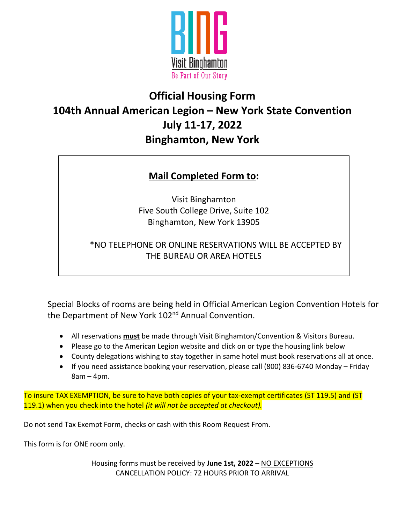

## **Official Housing Form 104th Annual American Legion – New York State Convention July 11-17, 2022 Binghamton, New York**

## **Mail Completed Form to:**

Visit Binghamton Five South College Drive, Suite 102 Binghamton, New York 13905

### \*NO TELEPHONE OR ONLINE RESERVATIONS WILL BE ACCEPTED BY THE BUREAU OR AREA HOTELS

Special Blocks of rooms are being held in Official American Legion Convention Hotels for the Department of New York 102<sup>nd</sup> Annual Convention.

- All reservations **must** be made through Visit Binghamton/Convention & Visitors Bureau.
- Please go to the American Legion website and click on or type the housing link below
- County delegations wishing to stay together in same hotel must book reservations all at once.
- If you need assistance booking your reservation, please call (800) 836-6740 Monday Friday 8am – 4pm.

To insure TAX EXEMPTION, be sure to have both copies of your tax-exempt certificates (ST 119.5) and (ST 119.1) when you check into the hotel *(it will not be accepted at checkout).*

Do not send Tax Exempt Form, checks or cash with this Room Request From.

This form is for ONE room only.

Housing forms must be received by **June 1st, 2022** – NO EXCEPTIONS CANCELLATION POLICY: 72 HOURS PRIOR TO ARRIVAL